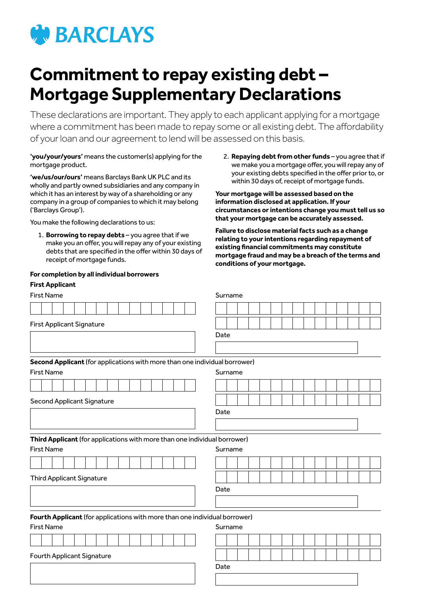

# **Commitment to repay existing debt – Mortgage Supplementary Declarations**

These declarations are important. They apply to each applicant applying for a mortgage where a commitment has been made to repay some or all existing debt. The affordability of your loan and our agreement to lend will be assessed on this basis.

**'you/your/yours'** means the customer(s) applying for the mortgage product.

**'we/us/our/ours'** means Barclays Bank UK PLC and its wholly and partly owned subsidiaries and any company in which it has an interest by way of a shareholding or any company in a group of companies to which it may belong ('Barclays Group').

You make the following declarations to us:

1. **Borrowing to repay debts** – you agree that if we make you an offer, you will repay any of your existing debts that are specified in the offer within 30 days of receipt of mortgage funds.

#### **For completion by all individual borrowers**

### **First Applicant**

| First Name | . . |  |  |  |  |  |  |  |  |  |  | Surname |  |  |  |  |  |
|------------|-----|--|--|--|--|--|--|--|--|--|--|---------|--|--|--|--|--|
|            |     |  |  |  |  |  |  |  |  |  |  |         |  |  |  |  |  |
|            |     |  |  |  |  |  |  |  |  |  |  |         |  |  |  |  |  |

2. **Repaying debt from other funds** – you agree that if we make you a mortgage offer, you will repay any of your existing debts specified in the offer prior to, or within 30 days of, receipt of mortgage funds.

**Your mortgage will be assessed based on the information disclosed at application. If your circumstances or intentions change you must tell us so that your mortgage can be accurately assessed.**

**Failure to disclose material facts such as a change relating to your intentions regarding repayment of existing financial commitments may constitute mortgage fraud and may be a breach of the terms and conditions of your mortgage.**

| First Name                       |                   |  |  |                                   |  |  |  | Surname |      |  |  |                                                                            |  |  |  |  |  |  |  |  |  |  |  |  |  |  |  |
|----------------------------------|-------------------|--|--|-----------------------------------|--|--|--|---------|------|--|--|----------------------------------------------------------------------------|--|--|--|--|--|--|--|--|--|--|--|--|--|--|--|
|                                  |                   |  |  |                                   |  |  |  |         |      |  |  |                                                                            |  |  |  |  |  |  |  |  |  |  |  |  |  |  |  |
| <b>First Applicant Signature</b> |                   |  |  |                                   |  |  |  |         |      |  |  |                                                                            |  |  |  |  |  |  |  |  |  |  |  |  |  |  |  |
|                                  |                   |  |  |                                   |  |  |  |         |      |  |  | Date                                                                       |  |  |  |  |  |  |  |  |  |  |  |  |  |  |  |
|                                  |                   |  |  |                                   |  |  |  |         |      |  |  |                                                                            |  |  |  |  |  |  |  |  |  |  |  |  |  |  |  |
|                                  |                   |  |  |                                   |  |  |  |         |      |  |  | Second Applicant (for applications with more than one individual borrower) |  |  |  |  |  |  |  |  |  |  |  |  |  |  |  |
| <b>First Name</b>                |                   |  |  |                                   |  |  |  | Surname |      |  |  |                                                                            |  |  |  |  |  |  |  |  |  |  |  |  |  |  |  |
|                                  |                   |  |  |                                   |  |  |  |         |      |  |  |                                                                            |  |  |  |  |  |  |  |  |  |  |  |  |  |  |  |
| Second Applicant Signature       |                   |  |  |                                   |  |  |  |         |      |  |  |                                                                            |  |  |  |  |  |  |  |  |  |  |  |  |  |  |  |
|                                  |                   |  |  |                                   |  |  |  |         |      |  |  | Date                                                                       |  |  |  |  |  |  |  |  |  |  |  |  |  |  |  |
|                                  |                   |  |  |                                   |  |  |  |         |      |  |  |                                                                            |  |  |  |  |  |  |  |  |  |  |  |  |  |  |  |
|                                  |                   |  |  |                                   |  |  |  |         |      |  |  | Third Applicant (for applications with more than one individual borrower)  |  |  |  |  |  |  |  |  |  |  |  |  |  |  |  |
|                                  | <b>First Name</b> |  |  |                                   |  |  |  |         |      |  |  | Surname                                                                    |  |  |  |  |  |  |  |  |  |  |  |  |  |  |  |
|                                  |                   |  |  |                                   |  |  |  |         |      |  |  |                                                                            |  |  |  |  |  |  |  |  |  |  |  |  |  |  |  |
|                                  |                   |  |  | <b>Third Applicant Signature</b>  |  |  |  |         |      |  |  |                                                                            |  |  |  |  |  |  |  |  |  |  |  |  |  |  |  |
|                                  |                   |  |  |                                   |  |  |  |         | Date |  |  |                                                                            |  |  |  |  |  |  |  |  |  |  |  |  |  |  |  |
|                                  |                   |  |  |                                   |  |  |  |         |      |  |  |                                                                            |  |  |  |  |  |  |  |  |  |  |  |  |  |  |  |
|                                  |                   |  |  |                                   |  |  |  |         |      |  |  | Fourth Applicant (for applications with more than one individual borrower) |  |  |  |  |  |  |  |  |  |  |  |  |  |  |  |
|                                  | <b>First Name</b> |  |  |                                   |  |  |  |         |      |  |  | Surname                                                                    |  |  |  |  |  |  |  |  |  |  |  |  |  |  |  |
|                                  |                   |  |  |                                   |  |  |  |         |      |  |  |                                                                            |  |  |  |  |  |  |  |  |  |  |  |  |  |  |  |
|                                  |                   |  |  | <b>Fourth Applicant Signature</b> |  |  |  |         |      |  |  |                                                                            |  |  |  |  |  |  |  |  |  |  |  |  |  |  |  |
|                                  |                   |  |  |                                   |  |  |  |         |      |  |  | Date                                                                       |  |  |  |  |  |  |  |  |  |  |  |  |  |  |  |
|                                  |                   |  |  |                                   |  |  |  |         |      |  |  |                                                                            |  |  |  |  |  |  |  |  |  |  |  |  |  |  |  |